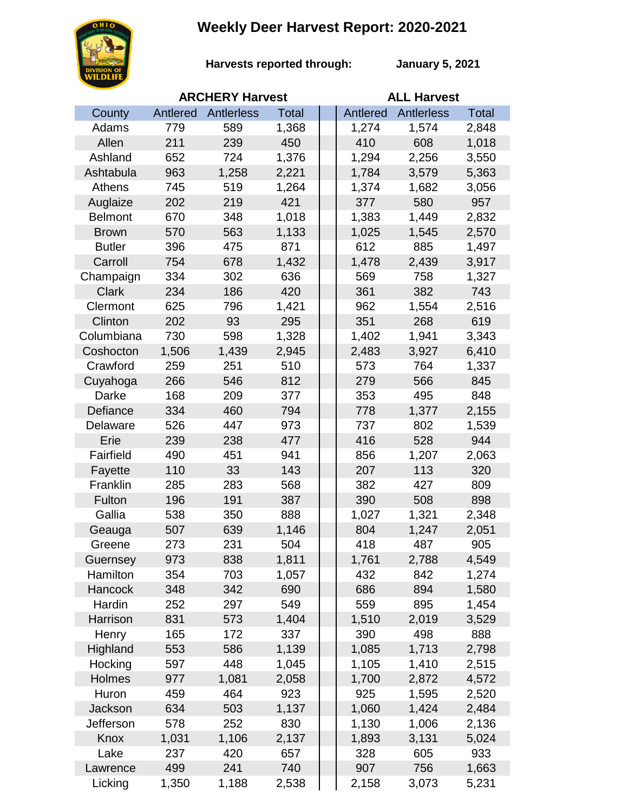## **Weekly Deer Harvest Report: 2020-2021**



**Harvests reported through:** 

**January 5, 2021**

|                | <b>ARCHERY Harvest</b> |            |              |  | <b>ALL Harvest</b> |                   |              |  |
|----------------|------------------------|------------|--------------|--|--------------------|-------------------|--------------|--|
| County         | Antlered               | Antlerless | <b>Total</b> |  | Antlered           | <b>Antlerless</b> | <b>Total</b> |  |
| Adams          | 779                    | 589        | 1,368        |  | 1,274              | 1,574             | 2,848        |  |
| Allen          | 211                    | 239        | 450          |  | 410                | 608               | 1,018        |  |
| Ashland        | 652                    | 724        | 1,376        |  | 1,294              | 2,256             | 3,550        |  |
| Ashtabula      | 963                    | 1,258      | 2,221        |  | 1,784              | 3,579             | 5,363        |  |
| Athens         | 745                    | 519        | 1,264        |  | 1,374              | 1,682             | 3,056        |  |
| Auglaize       | 202                    | 219        | 421          |  | 377                | 580               | 957          |  |
| <b>Belmont</b> | 670                    | 348        | 1,018        |  | 1,383              | 1,449             | 2,832        |  |
| <b>Brown</b>   | 570                    | 563        | 1,133        |  | 1,025              | 1,545             | 2,570        |  |
| <b>Butler</b>  | 396                    | 475        | 871          |  | 612                | 885               | 1,497        |  |
| Carroll        | 754                    | 678        | 1,432        |  | 1,478              | 2,439             | 3,917        |  |
| Champaign      | 334                    | 302        | 636          |  | 569                | 758               | 1,327        |  |
| <b>Clark</b>   | 234                    | 186        | 420          |  | 361                | 382               | 743          |  |
| Clermont       | 625                    | 796        | 1,421        |  | 962                | 1,554             | 2,516        |  |
| Clinton        | 202                    | 93         | 295          |  | 351                | 268               | 619          |  |
| Columbiana     | 730                    | 598        | 1,328        |  | 1,402              | 1,941             | 3,343        |  |
| Coshocton      | 1,506                  | 1,439      | 2,945        |  | 2,483              | 3,927             | 6,410        |  |
| Crawford       | 259                    | 251        | 510          |  | 573                | 764               | 1,337        |  |
| Cuyahoga       | 266                    | 546        | 812          |  | 279                | 566               | 845          |  |
| Darke          | 168                    | 209        | 377          |  | 353                | 495               | 848          |  |
| Defiance       | 334                    | 460        | 794          |  | 778                | 1,377             | 2,155        |  |
| Delaware       | 526                    | 447        | 973          |  | 737                | 802               | 1,539        |  |
| Erie           | 239                    | 238        | 477          |  | 416                | 528               | 944          |  |
| Fairfield      | 490                    | 451        | 941          |  | 856                | 1,207             | 2,063        |  |
| Fayette        | 110                    | 33         | 143          |  | 207                | 113               | 320          |  |
| Franklin       | 285                    | 283        | 568          |  | 382                | 427               | 809          |  |
| Fulton         | 196                    | 191        | 387          |  | 390                | 508               | 898          |  |
| Gallia         | 538                    | 350        | 888          |  | 1,027              | 1,321             | 2,348        |  |
| Geauga         | 507                    | 639        | 1,146        |  | 804                | 1,247             | 2,051        |  |
| Greene         | 273                    | 231        | 504          |  | 418                | 487               | 905          |  |
| Guernsey       | 973                    | 838        | 1,811        |  | 1,761              | 2,788             | 4,549        |  |
| Hamilton       | 354                    | 703        | 1,057        |  | 432                | 842               | 1,274        |  |
| <b>Hancock</b> | 348                    | 342        | 690          |  | 686                | 894               | 1,580        |  |
| Hardin         | 252                    | 297        | 549          |  | 559                | 895               | 1,454        |  |
| Harrison       | 831                    | 573        | 1,404        |  | 1,510              | 2,019             | 3,529        |  |
| Henry          | 165                    | 172        | 337          |  | 390                | 498               | 888          |  |
| Highland       | 553                    | 586        | 1,139        |  | 1,085              | 1,713             | 2,798        |  |
| Hocking        | 597                    | 448        | 1,045        |  | 1,105              | 1,410             | 2,515        |  |
| Holmes         | 977                    | 1,081      | 2,058        |  | 1,700              | 2,872             | 4,572        |  |
| Huron          | 459                    | 464        | 923          |  | 925                | 1,595             | 2,520        |  |
| Jackson        | 634                    | 503        | 1,137        |  | 1,060              | 1,424             | 2,484        |  |
| Jefferson      | 578                    | 252        | 830          |  | 1,130              | 1,006             | 2,136        |  |
| Knox           | 1,031                  | 1,106      | 2,137        |  | 1,893              | 3,131             | 5,024        |  |
| Lake           | 237                    | 420        | 657          |  | 328                | 605               | 933          |  |
| Lawrence       | 499                    | 241        | 740          |  | 907                | 756               | 1,663        |  |
| Licking        | 1,350                  | 1,188      | 2,538        |  | 2,158              | 3,073             | 5,231        |  |